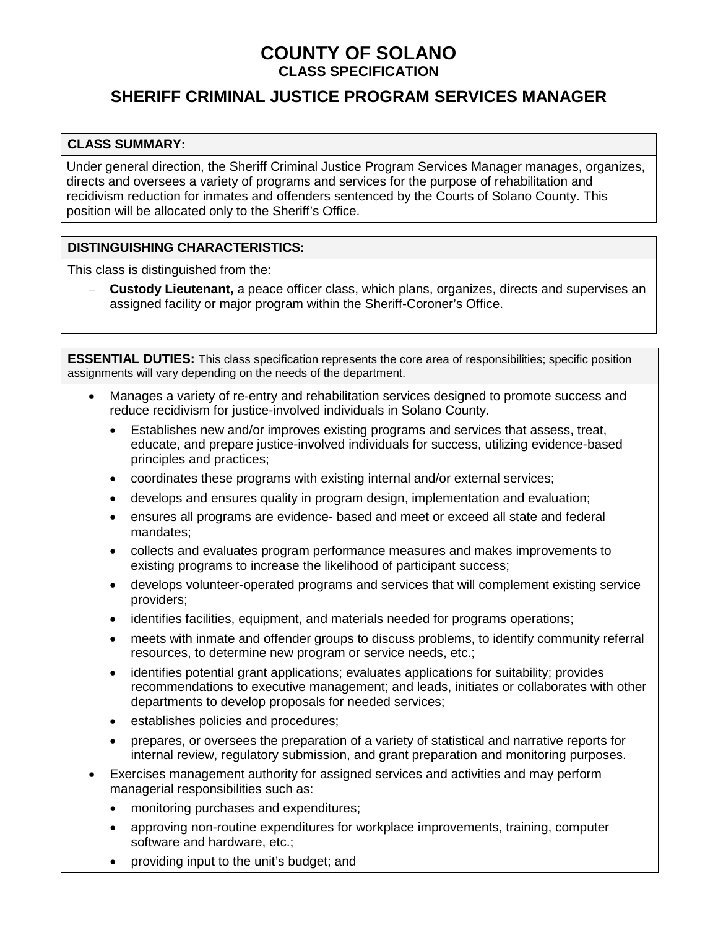## **COUNTY OF SOLANO CLASS SPECIFICATION**

# **SHERIFF CRIMINAL JUSTICE PROGRAM SERVICES MANAGER**

#### **CLASS SUMMARY:**

Under general direction, the Sheriff Criminal Justice Program Services Manager manages, organizes, directs and oversees a variety of programs and services for the purpose of rehabilitation and recidivism reduction for inmates and offenders sentenced by the Courts of Solano County. This position will be allocated only to the Sheriff's Office.

#### **DISTINGUISHING CHARACTERISTICS:**

This class is distinguished from the:

− **Custody Lieutenant,** a peace officer class, which plans, organizes, directs and supervises an assigned facility or major program within the Sheriff-Coroner's Office.

**ESSENTIAL DUTIES:** This class specification represents the core area of responsibilities; specific position assignments will vary depending on the needs of the department.

- Manages a variety of re-entry and rehabilitation services designed to promote success and reduce recidivism for justice-involved individuals in Solano County.
	- Establishes new and/or improves existing programs and services that assess, treat, educate, and prepare justice-involved individuals for success, utilizing evidence-based principles and practices;
	- coordinates these programs with existing internal and/or external services;
	- develops and ensures quality in program design, implementation and evaluation;
	- ensures all programs are evidence- based and meet or exceed all state and federal mandates;
	- collects and evaluates program performance measures and makes improvements to existing programs to increase the likelihood of participant success;
	- develops volunteer-operated programs and services that will complement existing service providers;
	- identifies facilities, equipment, and materials needed for programs operations;
	- meets with inmate and offender groups to discuss problems, to identify community referral resources, to determine new program or service needs, etc.;
	- identifies potential grant applications; evaluates applications for suitability; provides recommendations to executive management; and leads, initiates or collaborates with other departments to develop proposals for needed services;
	- establishes policies and procedures;
	- prepares, or oversees the preparation of a variety of statistical and narrative reports for internal review, regulatory submission, and grant preparation and monitoring purposes.
- Exercises management authority for assigned services and activities and may perform managerial responsibilities such as:
	- monitoring purchases and expenditures;
	- approving non-routine expenditures for workplace improvements, training, computer software and hardware, etc.;
	- providing input to the unit's budget; and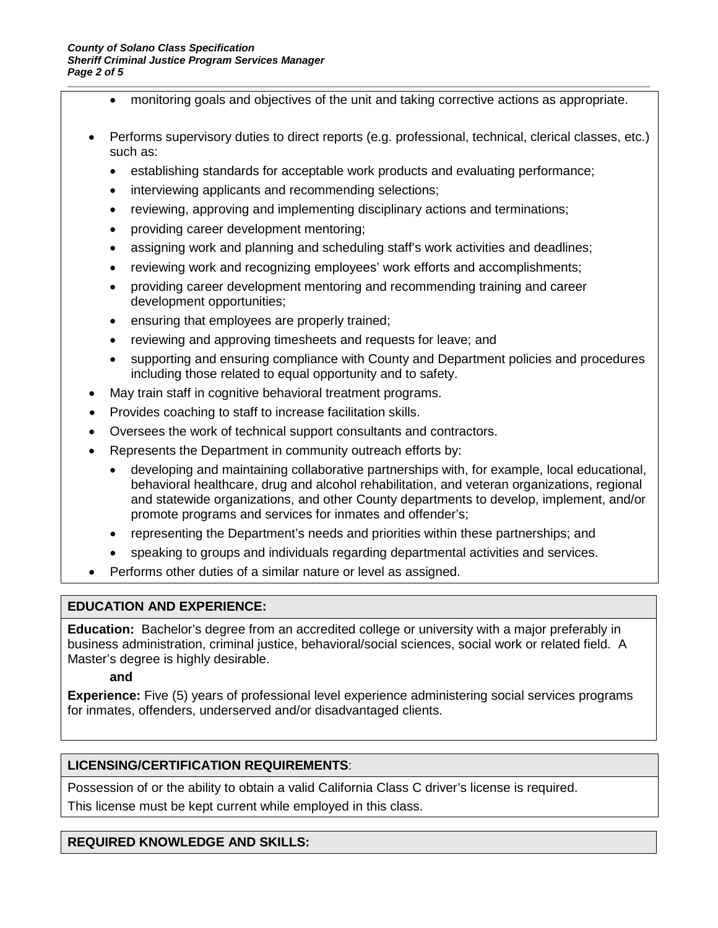- monitoring goals and objectives of the unit and taking corrective actions as appropriate.
- Performs supervisory duties to direct reports (e.g. professional, technical, clerical classes, etc.) such as:
	- establishing standards for acceptable work products and evaluating performance;
	- interviewing applicants and recommending selections;
	- reviewing, approving and implementing disciplinary actions and terminations;
	- providing career development mentoring;
	- assigning work and planning and scheduling staff's work activities and deadlines;
	- reviewing work and recognizing employees' work efforts and accomplishments;
	- providing career development mentoring and recommending training and career development opportunities;
	- ensuring that employees are properly trained;
	- reviewing and approving timesheets and requests for leave; and
	- supporting and ensuring compliance with County and Department policies and procedures including those related to equal opportunity and to safety.
- May train staff in cognitive behavioral treatment programs.
- Provides coaching to staff to increase facilitation skills.
- Oversees the work of technical support consultants and contractors.
- Represents the Department in community outreach efforts by:
	- developing and maintaining collaborative partnerships with, for example, local educational, behavioral healthcare, drug and alcohol rehabilitation, and veteran organizations, regional and statewide organizations, and other County departments to develop, implement, and/or promote programs and services for inmates and offender's;
	- representing the Department's needs and priorities within these partnerships; and
	- speaking to groups and individuals regarding departmental activities and services.
- Performs other duties of a similar nature or level as assigned.

#### **EDUCATION AND EXPERIENCE:**

**Education:** Bachelor's degree from an accredited college or university with a major preferably in business administration, criminal justice, behavioral/social sciences, social work or related field. A Master's degree is highly desirable.

#### **and**

**Experience:** Five (5) years of professional level experience administering social services programs for inmates, offenders, underserved and/or disadvantaged clients.

#### **LICENSING/CERTIFICATION REQUIREMENTS**:

Possession of or the ability to obtain a valid California Class C driver's license is required.

This license must be kept current while employed in this class.

#### **REQUIRED KNOWLEDGE AND SKILLS:**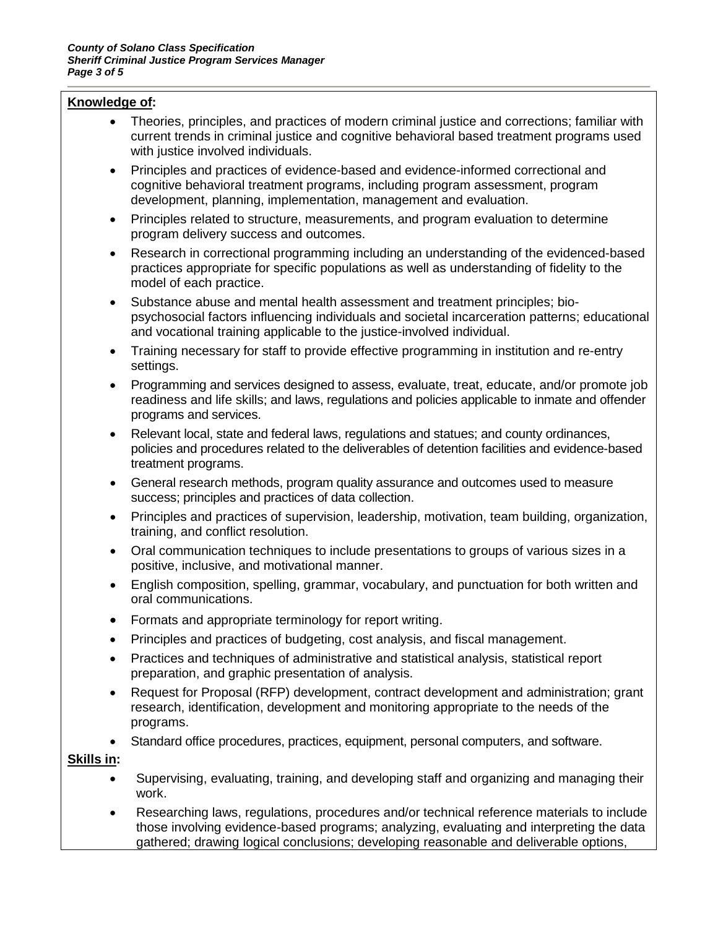#### **Knowledge of:**

- Theories, principles, and practices of modern criminal justice and corrections; familiar with current trends in criminal justice and cognitive behavioral based treatment programs used with justice involved individuals.
- Principles and practices of evidence-based and evidence-informed correctional and cognitive behavioral treatment programs, including program assessment, program development, planning, implementation, management and evaluation.
- Principles related to structure, measurements, and program evaluation to determine program delivery success and outcomes.
- Research in correctional programming including an understanding of the evidenced-based practices appropriate for specific populations as well as understanding of fidelity to the model of each practice.
- Substance abuse and mental health assessment and treatment principles; biopsychosocial factors influencing individuals and societal incarceration patterns; educational and vocational training applicable to the justice-involved individual.
- Training necessary for staff to provide effective programming in institution and re-entry settings.
- Programming and services designed to assess, evaluate, treat, educate, and/or promote job readiness and life skills; and laws, regulations and policies applicable to inmate and offender programs and services.
- Relevant local, state and federal laws, regulations and statues; and county ordinances, policies and procedures related to the deliverables of detention facilities and evidence-based treatment programs.
- General research methods, program quality assurance and outcomes used to measure success; principles and practices of data collection.
- Principles and practices of supervision, leadership, motivation, team building, organization, training, and conflict resolution.
- Oral communication techniques to include presentations to groups of various sizes in a positive, inclusive, and motivational manner.
- English composition, spelling, grammar, vocabulary, and punctuation for both written and oral communications.
- Formats and appropriate terminology for report writing.
- Principles and practices of budgeting, cost analysis, and fiscal management.
- Practices and techniques of administrative and statistical analysis, statistical report preparation, and graphic presentation of analysis.
- Request for Proposal (RFP) development, contract development and administration; grant research, identification, development and monitoring appropriate to the needs of the programs.
- Standard office procedures, practices, equipment, personal computers, and software.

#### **Skills in:**

- Supervising, evaluating, training, and developing staff and organizing and managing their work.
- Researching laws, regulations, procedures and/or technical reference materials to include those involving evidence-based programs; analyzing, evaluating and interpreting the data gathered; drawing logical conclusions; developing reasonable and deliverable options,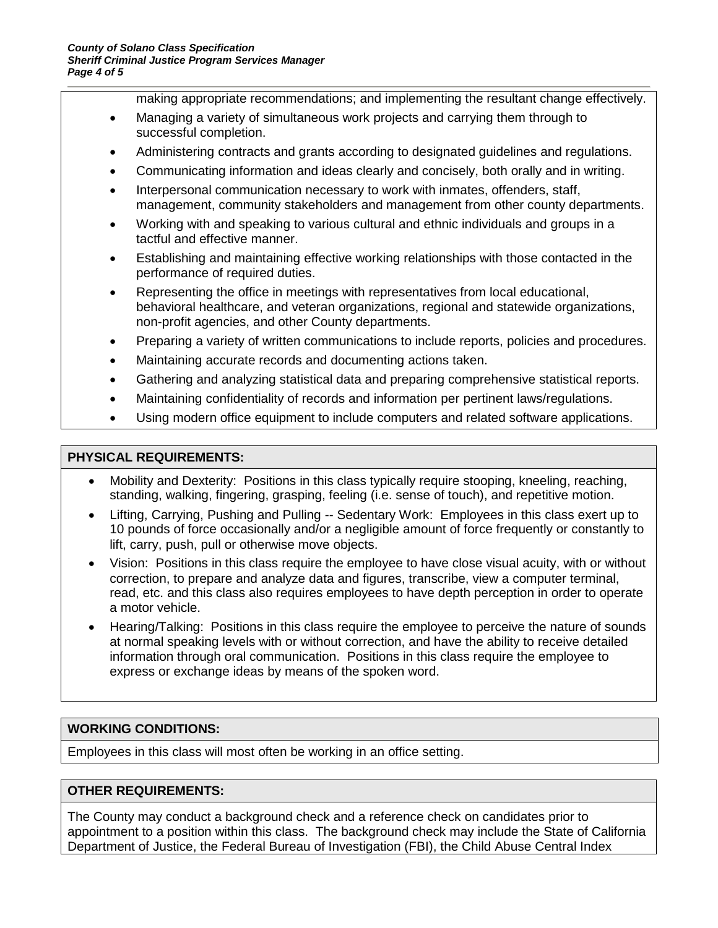making appropriate recommendations; and implementing the resultant change effectively.

- Managing a variety of simultaneous work projects and carrying them through to successful completion.
- Administering contracts and grants according to designated guidelines and regulations.
- Communicating information and ideas clearly and concisely, both orally and in writing.
- Interpersonal communication necessary to work with inmates, offenders, staff, management, community stakeholders and management from other county departments.
- Working with and speaking to various cultural and ethnic individuals and groups in a tactful and effective manner.
- Establishing and maintaining effective working relationships with those contacted in the performance of required duties.
- Representing the office in meetings with representatives from local educational, behavioral healthcare, and veteran organizations, regional and statewide organizations, non-profit agencies, and other County departments.
- Preparing a variety of written communications to include reports, policies and procedures.
- Maintaining accurate records and documenting actions taken.
- Gathering and analyzing statistical data and preparing comprehensive statistical reports.
- Maintaining confidentiality of records and information per pertinent laws/regulations.
- Using modern office equipment to include computers and related software applications.

#### **PHYSICAL REQUIREMENTS:**

- Mobility and Dexterity: Positions in this class typically require stooping, kneeling, reaching, standing, walking, fingering, grasping, feeling (i.e. sense of touch), and repetitive motion.
- Lifting, Carrying, Pushing and Pulling -- Sedentary Work: Employees in this class exert up to 10 pounds of force occasionally and/or a negligible amount of force frequently or constantly to lift, carry, push, pull or otherwise move objects.
- Vision: Positions in this class require the employee to have close visual acuity, with or without correction, to prepare and analyze data and figures, transcribe, view a computer terminal, read, etc. and this class also requires employees to have depth perception in order to operate a motor vehicle.
- Hearing/Talking: Positions in this class require the employee to perceive the nature of sounds at normal speaking levels with or without correction, and have the ability to receive detailed information through oral communication. Positions in this class require the employee to express or exchange ideas by means of the spoken word.

#### **WORKING CONDITIONS:**

Employees in this class will most often be working in an office setting.

#### **OTHER REQUIREMENTS:**

The County may conduct a background check and a reference check on candidates prior to appointment to a position within this class. The background check may include the State of California Department of Justice, the Federal Bureau of Investigation (FBI), the Child Abuse Central Index